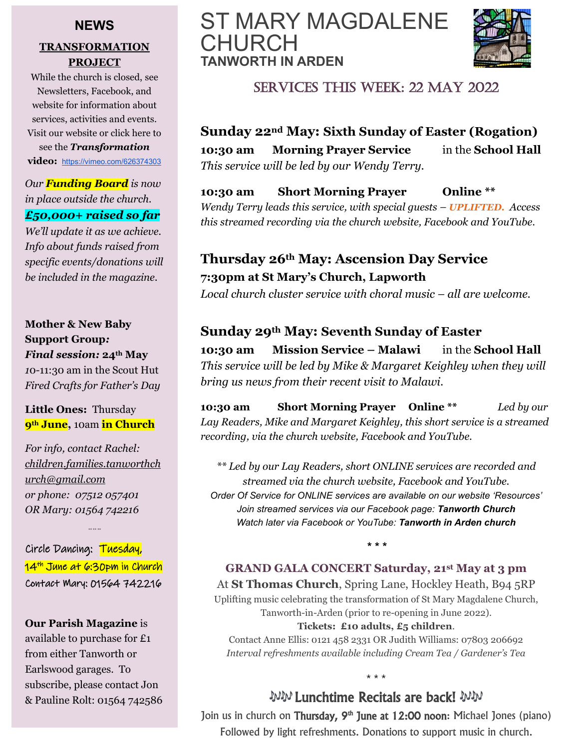#### **NEWS**

#### **TRANSFORMATION PROJECT**

While the church is closed, see Newsletters, Facebook, and website for information about services, activities and events. Visit our website or click here to see the *Transformation* **video:** <https://vimeo.com/626374303>

*Our Funding Board is now in place outside the church. £50,000+ raised so far*

*We'll update it as we achieve. Info about funds raised from specific events/donations will be included in the magazine.*

#### **Mother & New Baby Support Group***: Final session:* **24th May**

*1*0-11:30 am in the Scout Hut *Fired Crafts for Father's Day*

#### **Little Ones:** Thursday **9th June,** 10am **in Church**

*For info, contact Rachel: [children.families.tanworthch](mailto:children.families.tanworthchurch@gmail.com) [urch@gmail.com](mailto:children.families.tanworthchurch@gmail.com)  or phone: 07512 057401 OR Mary: 01564 742216*

Circle Dancing: Tuesday, 14<sup>th</sup> June at 6:30pm in Church Contact Mary: 01564 742216

*\*\* \*\* \*\**

**Our Parish Magazine** is available to purchase for £1 from either Tanworth or Earlswood garages. To subscribe, please contact Jon & Pauline Rolt: 01564 742586

# ST MARY MAGDALENE CHURCH **TANWORTH IN ARDEN**



# SERVICES THIS WEEK: 22 MAY 2022

**Sunday 22nd May: Sixth Sunday of Easter (Rogation) 10:30 am Morning Prayer Service** in the **School Hall**  *This service will be led by our Wendy Terry.*

**10:30 am Short Morning Prayer Online \*\*** 

*Wendy Terry leads this service, with special guests – UPLIFTED. Access this streamed recording via the church website, Facebook and YouTube.* 

# **Thursday 26th May: Ascension Day Service 7:30pm at St Mary's Church, Lapworth**

*Local church cluster service with choral music – all are welcome.*

## **Sunday 29th May: Seventh Sunday of Easter**

**10:30 am Mission Service – Malawi** in the **School Hall**  *This service will be led by Mike & Margaret Keighley when they will bring us news from their recent visit to Malawi.*

**10:30 am Short Morning Prayer Online \*\*** *Led by our Lay Readers, Mike and Margaret Keighley, this short service is a streamed recording, via the church website, Facebook and YouTube.* 

*\*\* Led by our Lay Readers, short ONLINE services are recorded and streamed via the church website, Facebook and YouTube. Order Of Service for ONLINE services are available on our website 'Resources' Join streamed services via our Facebook page: Tanworth Church Watch later via Facebook or YouTube: Tanworth in Arden church*

*\* \* \**

#### **GRAND GALA CONCERT Saturday, 21st May at 3 pm**

At **St Thomas Church**, Spring Lane, Hockley Heath, B94 5RP Uplifting music celebrating the transformation of St Mary Magdalene Church, Tanworth-in-Arden (prior to re-opening in June 2022).

#### **Tickets: £10 adults, £5 children**.

Contact Anne Ellis: 0121 458 2331 OR Judith Williams: 07803 206692 *Interval refreshments available including Cream Tea / Gardener's Tea*

\* \* \*

# Lunchtime Recitals are back!

Join us in church on Thursday, 9<sup>th</sup> June at 12:00 noon: Michael Jones (piano) Followed by light refreshments. Donations to support music in church.